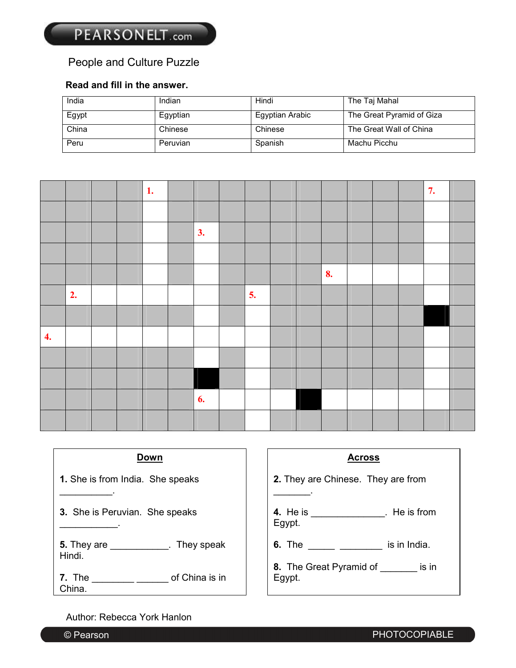# People and Culture Puzzle

### **Read and fill in the answer.**

| India | Indian   | Hindi           | The Taj Mahal             |
|-------|----------|-----------------|---------------------------|
| Egypt | Egyptian | Egyptian Arabic | The Great Pyramid of Giza |
| China | Chinese  | Chinese         | The Great Wall of China   |
| Peru  | Peruvian | Spanish         | Machu Picchu              |

|                  |    |  | 1. |    |    |  |    |  | 7. |  |
|------------------|----|--|----|----|----|--|----|--|----|--|
|                  |    |  |    |    |    |  |    |  |    |  |
|                  |    |  |    | 3. |    |  |    |  |    |  |
|                  |    |  |    |    |    |  |    |  |    |  |
|                  |    |  |    |    |    |  | 8. |  |    |  |
|                  | 2. |  |    |    | 5. |  |    |  |    |  |
|                  |    |  |    |    |    |  |    |  |    |  |
| $\overline{4}$ . |    |  |    |    |    |  |    |  |    |  |
|                  |    |  |    |    |    |  |    |  |    |  |
|                  |    |  |    |    |    |  |    |  |    |  |
|                  |    |  |    | 6. |    |  |    |  |    |  |
|                  |    |  |    |    |    |  |    |  |    |  |

| Down                                            | <b>Across</b>                                          |  |  |  |  |  |
|-------------------------------------------------|--------------------------------------------------------|--|--|--|--|--|
| <b>1.</b> She is from India. She speaks         | 2. They are Chinese. They are from                     |  |  |  |  |  |
| 3. She is Peruvian. She speaks                  | <b>4.</b> He is ________________. He is from<br>Egypt. |  |  |  |  |  |
| 5. They are _____________. They speak<br>Hindi. | <b>6.</b> The is in India.                             |  |  |  |  |  |
| 7. The<br>of China is in<br>China.              | 8. The Great Pyramid of _________ is in<br>Egypt.      |  |  |  |  |  |

#### Author: Rebecca York Hanlon